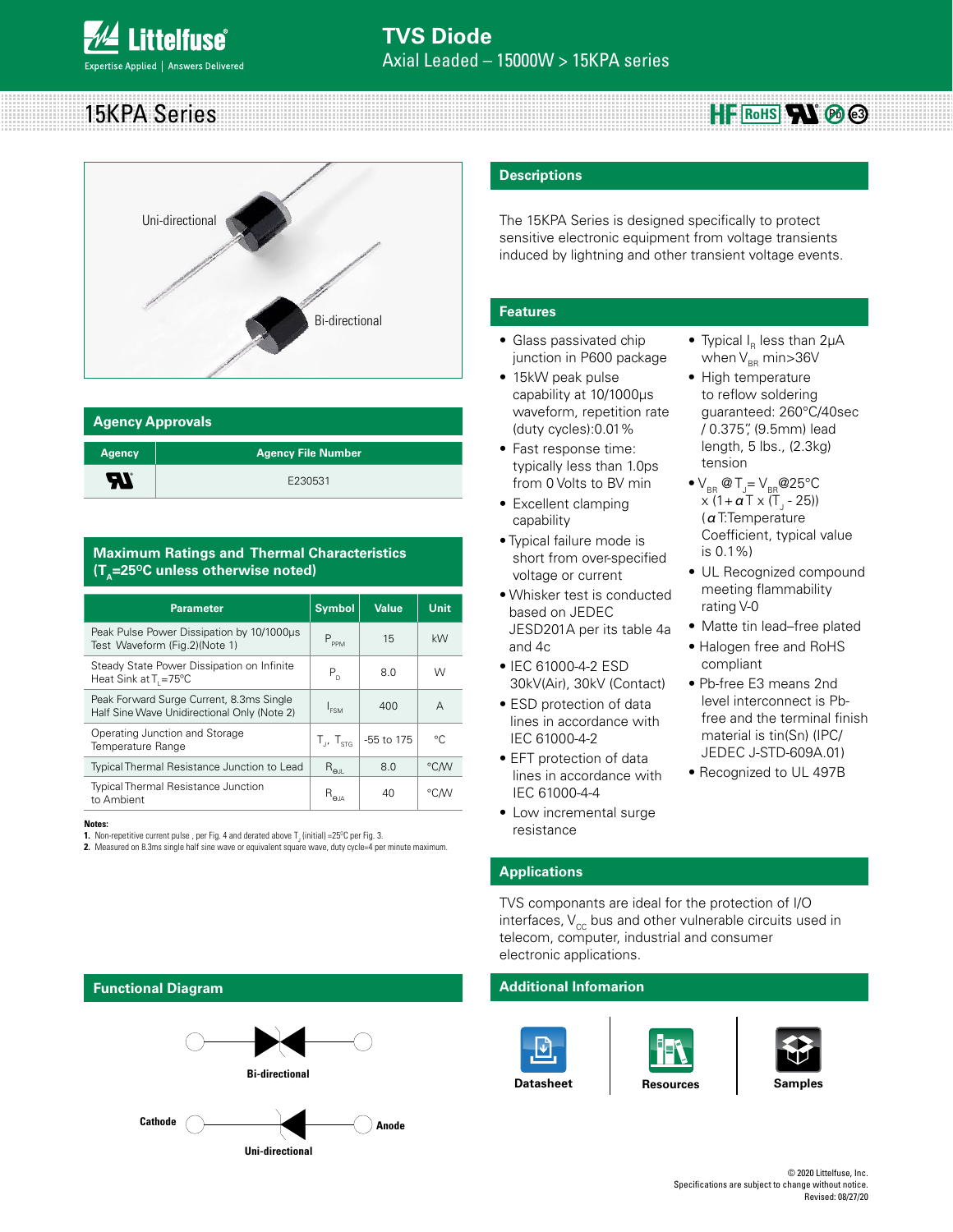15KPA Series  $HF$  RoHS**\M** @ @



| <b>Agency Approvals</b> |                           |  |  |  |
|-------------------------|---------------------------|--|--|--|
| <b>Agency</b>           | <b>Agency File Number</b> |  |  |  |
| ЪT                      | E230531                   |  |  |  |

### **Maximum Ratings and Thermal Characteristics (T<sub>a</sub>=25<sup>o</sup>C unless otherwise noted)**

| <b>Parameter</b>                                                                        | <b>Symbol</b>               | Value      | <b>Unit</b> |
|-----------------------------------------------------------------------------------------|-----------------------------|------------|-------------|
| Peak Pulse Power Dissipation by 10/1000us<br>Test Waveform (Fig.2)(Note 1)              | $P_{PPM}$                   | 15         | kW          |
| Steady State Power Dissipation on Infinite<br>Heat Sink at $T_1 = 75^{\circ}C$          | $P_{n}$                     | 8.0        | W           |
| Peak Forward Surge Current, 8.3ms Single<br>Half Sine Wave Unidirectional Only (Note 2) | $I_{FSM}$                   | 400        | A           |
| Operating Junction and Storage<br>Temperature Range                                     | $T_{1}$ , $T_{\text{strs}}$ | -55 to 175 | °C          |
| Typical Thermal Resistance Junction to Lead                                             | $R_{\text{el}}$             | 8.0        | °C/W        |
| <b>Typical Thermal Resistance Junction</b><br>to Ambient                                | $R_{\alpha\mu}$             | 40         | °C/W        |

**Notes:**

**1.** Non-repetitive current pulse , per Fig. 4 and derated above  $\mathsf{T}_\mathsf{J}$  (initial) =25°C per Fig. 3.

**2.** Measured on 8.3ms single half sine wave or equivalent square wave, duty cycle=4 per minute maximum.

### **Descriptions**

The 15KPA Series is designed specifically to protect sensitive electronic equipment from voltage transients induced by lightning and other transient voltage events.

### **Features**

- Glass passivated chip junction in P600 package
- 15kW peak pulse capability at 10/1000μs waveform, repetition rate (duty cycles):0.01%
- Fast response time: typically less than 1.0ps from 0 Volts to BV min
- Excellent clamping capability
- Typical failure mode is short from over-specified voltage or current
- Whisker test is conducted based on JEDEC JESD201A per its table 4a and 4c
- IEC 61000-4-2 ESD 30kV(Air), 30kV (Contact)
- ESD protection of data lines in accordance with IEC 61000-4-2
- EFT protection of data lines in accordance with IEC 61000-4-4
- Low incremental surge resistance

### • Typical  $I_R$  less than 2 $\mu$ A when  $V_{BR}$  min>36V • High temperature

- to reflow soldering guaranteed: 260°C/40sec / 0.375", (9.5mm) lead length, 5 lbs., (2.3kg) tension
- $\bullet$  V<sub>BR</sub> @ T<sub>J</sub>= V<sub>BR</sub> @ 25°C x (1+ **α** Τ x (Τ<sub>յ</sub> - 25)) (αT:Temperature Coefficient, typical value is 0.1%)
- UL Recognized compound meeting flammability rating V-0
- Matte tin lead–free plated
- Halogen free and RoHS compliant
- Pb-free E3 means 2nd level interconnect is Pbfree and the terminal finish material is tin(Sn) (IPC/ JEDEC J-STD-609A.01)
- Recognized to UL 497B

### **Applications**

TVS componants are ideal for the protection of I/O interfaces,  $V_{cc}$  bus and other vulnerable circuits used in telecom, computer, industrial and consumer electronic applications.

### **Additional Infomarion**











### **Functional Diagram**



**Uni-directional** 

© 2020 Littelfuse, Inc. Specifications are subject to change without notice. Revised: 08/27/20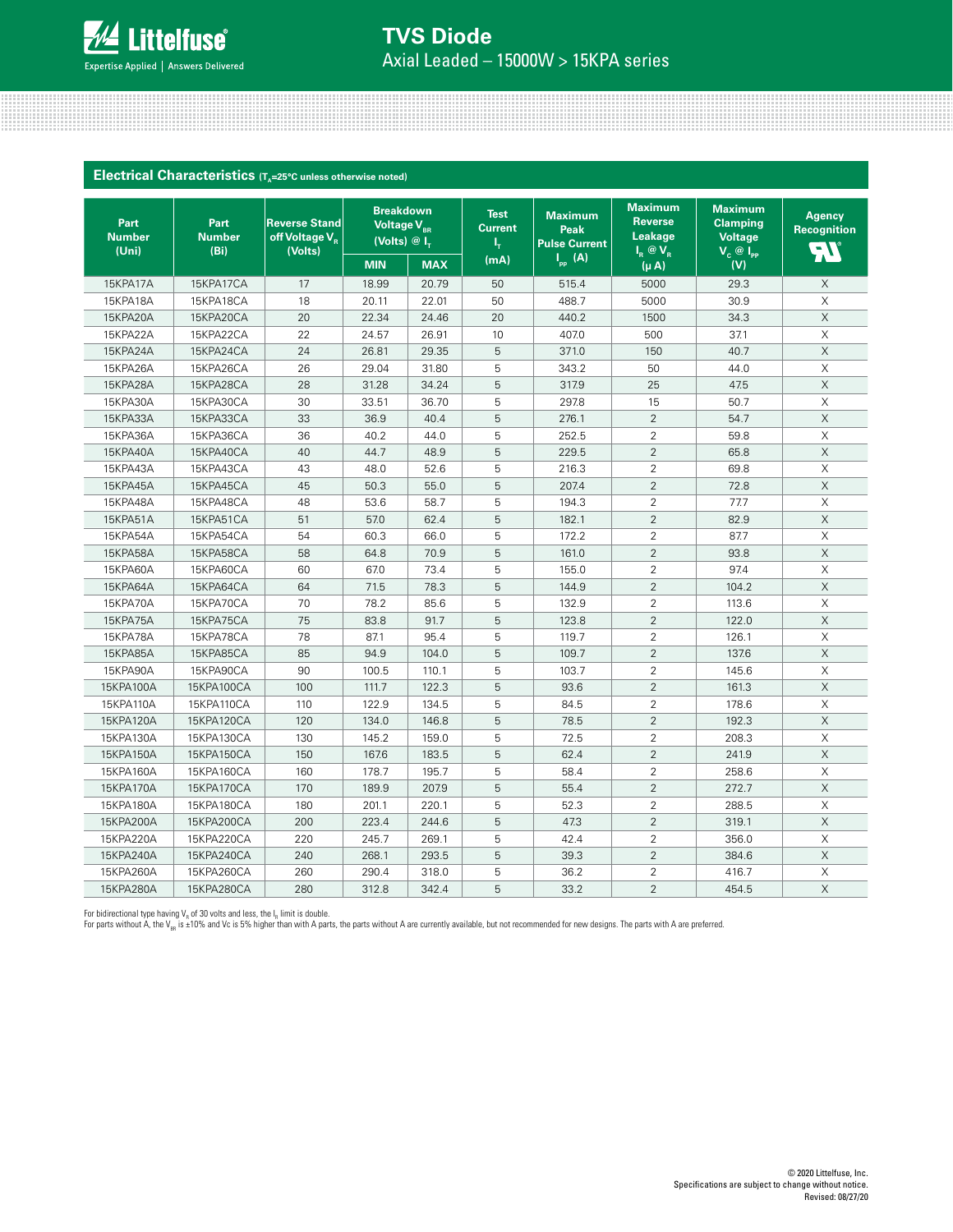

## Axial Leaded – 15000W > 15KPA series **TVS Diode**

<u> 11. januar - Januar Jacobson, francuski fizik eta idazlea (h. 1878).</u>

| Electrical Characteristics (T <sub>A</sub> =25°C unless otherwise noted) |                               |                                                               |                                                                                   |            |                                     |                                                |                                                                  |                                                                           |                                                |
|--------------------------------------------------------------------------|-------------------------------|---------------------------------------------------------------|-----------------------------------------------------------------------------------|------------|-------------------------------------|------------------------------------------------|------------------------------------------------------------------|---------------------------------------------------------------------------|------------------------------------------------|
| Part<br><b>Number</b><br>(Uni)                                           | Part<br><b>Number</b><br>(Bi) | <b>Reverse Stand</b><br>off Voltage V <sub>R</sub><br>(Volts) | <b>Breakdown</b><br>Voltage V <sub>RR</sub><br>(Volts) $\circledR$ I <sub>T</sub> |            | <b>Test</b><br><b>Current</b><br>ı, | <b>Maximum</b><br>Peak<br><b>Pulse Current</b> | <b>Maximum</b><br><b>Reverse</b><br><b>Leakage</b><br>$I_R @V_R$ | <b>Maximum</b><br><b>Clamping</b><br><b>Voltage</b><br>$V_c \circ I_{PP}$ | <b>Agency</b><br><b>Recognition</b><br>$\Xi V$ |
|                                                                          |                               |                                                               | <b>MIN</b>                                                                        | <b>MAX</b> | (mA)                                | $I_{\text{pp}}$ (A)                            | $(\mu A)$                                                        | (V)                                                                       |                                                |
| 15KPA17A                                                                 | 15KPA17CA                     | 17                                                            | 18.99                                                                             | 20.79      | 50                                  | 515.4                                          | 5000                                                             | 29.3                                                                      | $\times$                                       |
| 15KPA18A                                                                 | 15KPA18CA                     | 18                                                            | 20.11                                                                             | 22.01      | 50                                  | 488.7                                          | 5000                                                             | 30.9                                                                      | X                                              |
| 15KPA20A                                                                 | 15KPA20CA                     | 20                                                            | 22.34                                                                             | 24.46      | 20                                  | 440.2                                          | 1500                                                             | 34.3                                                                      | $\mathsf X$                                    |
| 15KPA22A                                                                 | 15KPA22CA                     | 22                                                            | 24.57                                                                             | 26.91      | 10                                  | 407.0                                          | 500                                                              | 37.1                                                                      | Χ                                              |
| 15KPA24A                                                                 | 15KPA24CA                     | 24                                                            | 26.81                                                                             | 29.35      | 5                                   | 371.0                                          | 150                                                              | 40.7                                                                      | $\times$                                       |
| 15KPA26A                                                                 | 15KPA26CA                     | 26                                                            | 29.04                                                                             | 31.80      | 5                                   | 343.2                                          | 50                                                               | 44.0                                                                      | X                                              |
| 15KPA28A                                                                 | 15KPA28CA                     | 28                                                            | 31.28                                                                             | 34.24      | 5                                   | 317.9                                          | 25                                                               | 47.5                                                                      | $\mathsf X$                                    |
| 15KPA30A                                                                 | 15KPA30CA                     | 30                                                            | 33.51                                                                             | 36.70      | 5                                   | 297.8                                          | 15                                                               | 50.7                                                                      | $\mathsf X$                                    |
| 15KPA33A                                                                 | 15KPA33CA                     | 33                                                            | 36.9                                                                              | 40.4       | 5                                   | 276.1                                          | $\overline{2}$                                                   | 54.7                                                                      | Χ                                              |
| 15KPA36A                                                                 | 15KPA36CA                     | 36                                                            | 40.2                                                                              | 44.0       | 5                                   | 252.5                                          | $\overline{2}$                                                   | 59.8                                                                      | X                                              |
| 15KPA40A                                                                 | 15KPA40CA                     | 40                                                            | 44.7                                                                              | 48.9       | 5                                   | 229.5                                          | $\overline{2}$                                                   | 65.8                                                                      | $\mathsf X$                                    |
| 15KPA43A                                                                 | 15KPA43CA                     | 43                                                            | 48.0                                                                              | 52.6       | 5                                   | 216.3                                          | $\overline{2}$                                                   | 69.8                                                                      | Χ                                              |
| 15KPA45A                                                                 | 15KPA45CA                     | 45                                                            | 50.3                                                                              | 55.0       | 5                                   | 207.4                                          | $\overline{2}$                                                   | 72.8                                                                      | $\mathsf X$                                    |
| 15KPA48A                                                                 | 15KPA48CA                     | 48                                                            | 53.6                                                                              | 58.7       | 5                                   | 194.3                                          | $\overline{2}$                                                   | 77.7                                                                      | $\times$                                       |
| 15KPA51A                                                                 | 15KPA51CA                     | 51                                                            | 57.0                                                                              | 62.4       | 5                                   | 182.1                                          | $\overline{2}$                                                   | 82.9                                                                      | X                                              |
| 15KPA54A                                                                 | 15KPA54CA                     | 54                                                            | 60.3                                                                              | 66.0       | 5                                   | 172.2                                          | $\overline{2}$                                                   | 87.7                                                                      | X                                              |
| 15KPA58A                                                                 | 15KPA58CA                     | 58                                                            | 64.8                                                                              | 70.9       | 5                                   | 161.0                                          | $\overline{2}$                                                   | 93.8                                                                      | $\times$                                       |
| 15KPA60A                                                                 | 15KPA60CA                     | 60                                                            | 67.0                                                                              | 73.4       | 5                                   | 155.0                                          | $\overline{2}$                                                   | 97.4                                                                      | X                                              |
| 15KPA64A                                                                 | 15KPA64CA                     | 64                                                            | 71.5                                                                              | 78.3       | 5                                   | 144.9                                          | $\overline{2}$                                                   | 104.2                                                                     | Χ                                              |
| 15KPA70A                                                                 | 15KPA70CA                     | 70                                                            | 78.2                                                                              | 85.6       | 5                                   | 132.9                                          | $\overline{2}$                                                   | 113.6                                                                     | Χ                                              |
| 15KPA75A                                                                 | 15KPA75CA                     | 75                                                            | 83.8                                                                              | 91.7       | 5                                   | 123.8                                          | $\overline{2}$                                                   | 122.0                                                                     | $\mathsf X$                                    |
| 15KPA78A                                                                 | 15KPA78CA                     | 78                                                            | 87.1                                                                              | 95.4       | 5                                   | 119.7                                          | $\overline{2}$                                                   | 126.1                                                                     | $\mathsf X$                                    |
| 15KPA85A                                                                 | 15KPA85CA                     | 85                                                            | 94.9                                                                              | 104.0      | 5                                   | 109.7                                          | $\overline{2}$                                                   | 137.6                                                                     | X                                              |
| 15KPA90A                                                                 | 15KPA90CA                     | 90                                                            | 100.5                                                                             | 110.1      | 5                                   | 103.7                                          | $\overline{2}$                                                   | 145.6                                                                     | X                                              |
| 15KPA100A                                                                | 15KPA100CA                    | 100                                                           | 111.7                                                                             | 122.3      | 5                                   | 93.6                                           | $\overline{2}$                                                   | 161.3                                                                     | X                                              |
| 15KPA110A                                                                | 15KPA110CA                    | 110                                                           | 122.9                                                                             | 134.5      | 5                                   | 84.5                                           | $\overline{2}$                                                   | 178.6                                                                     | X                                              |
| 15KPA120A                                                                | 15KPA120CA                    | 120                                                           | 134.0                                                                             | 146.8      | 5                                   | 78.5                                           | $\overline{2}$                                                   | 192.3                                                                     | $\times$                                       |
| 15KPA130A                                                                | 15KPA130CA                    | 130                                                           | 145.2                                                                             | 159.0      | 5                                   | 72.5                                           | $\overline{2}$                                                   | 208.3                                                                     | X                                              |
| 15KPA150A                                                                | 15KPA150CA                    | 150                                                           | 167.6                                                                             | 183.5      | 5                                   | 62.4                                           | $\overline{2}$                                                   | 241.9                                                                     | X                                              |
| 15KPA160A                                                                | 15KPA160CA                    | 160                                                           | 178.7                                                                             | 195.7      | 5                                   | 58.4                                           | $\overline{2}$                                                   | 258.6                                                                     | X                                              |
| 15KPA170A                                                                | 15KPA170CA                    | 170                                                           | 189.9                                                                             | 207.9      | 5                                   | 55.4                                           | $\overline{2}$                                                   | 272.7                                                                     | $\mathsf X$                                    |
| 15KPA180A                                                                | 15KPA180CA                    | 180                                                           | 201.1                                                                             | 220.1      | 5                                   | 52.3                                           | $\overline{2}$                                                   | 288.5                                                                     | X                                              |
| 15KPA200A                                                                | 15KPA200CA                    | 200                                                           | 223.4                                                                             | 244.6      | 5                                   | 47.3                                           | $\overline{2}$                                                   | 319.1                                                                     | X                                              |
| 15KPA220A                                                                | 15KPA220CA                    | 220                                                           | 245.7                                                                             | 269.1      | 5                                   | 42.4                                           | $\overline{2}$                                                   | 356.0                                                                     | X                                              |
| 15KPA240A                                                                | 15KPA240CA                    | 240                                                           | 268.1                                                                             | 293.5      | 5                                   | 39.3                                           | $\overline{2}$                                                   | 384.6                                                                     | X                                              |
| 15KPA260A                                                                | 15KPA260CA                    | 260                                                           | 290.4                                                                             | 318.0      | 5                                   | 36.2                                           | $\overline{2}$                                                   | 416.7                                                                     | Χ                                              |
| 15KPA280A                                                                | 15KPA280CA                    | 280                                                           | 312.8                                                                             | 342.4      | 5                                   | 33.2                                           | $\overline{2}$                                                   | 454.5                                                                     | $\times$                                       |

For bidirectional type having V<sub>a</sub> of 30 volts and less, the I<sub>a</sub> limit is double.<br>For parts without A, the V<sub>iss</sub> is ±10% and Vc is 5% higher than with A parts, the parts without A are currently available, but not recomme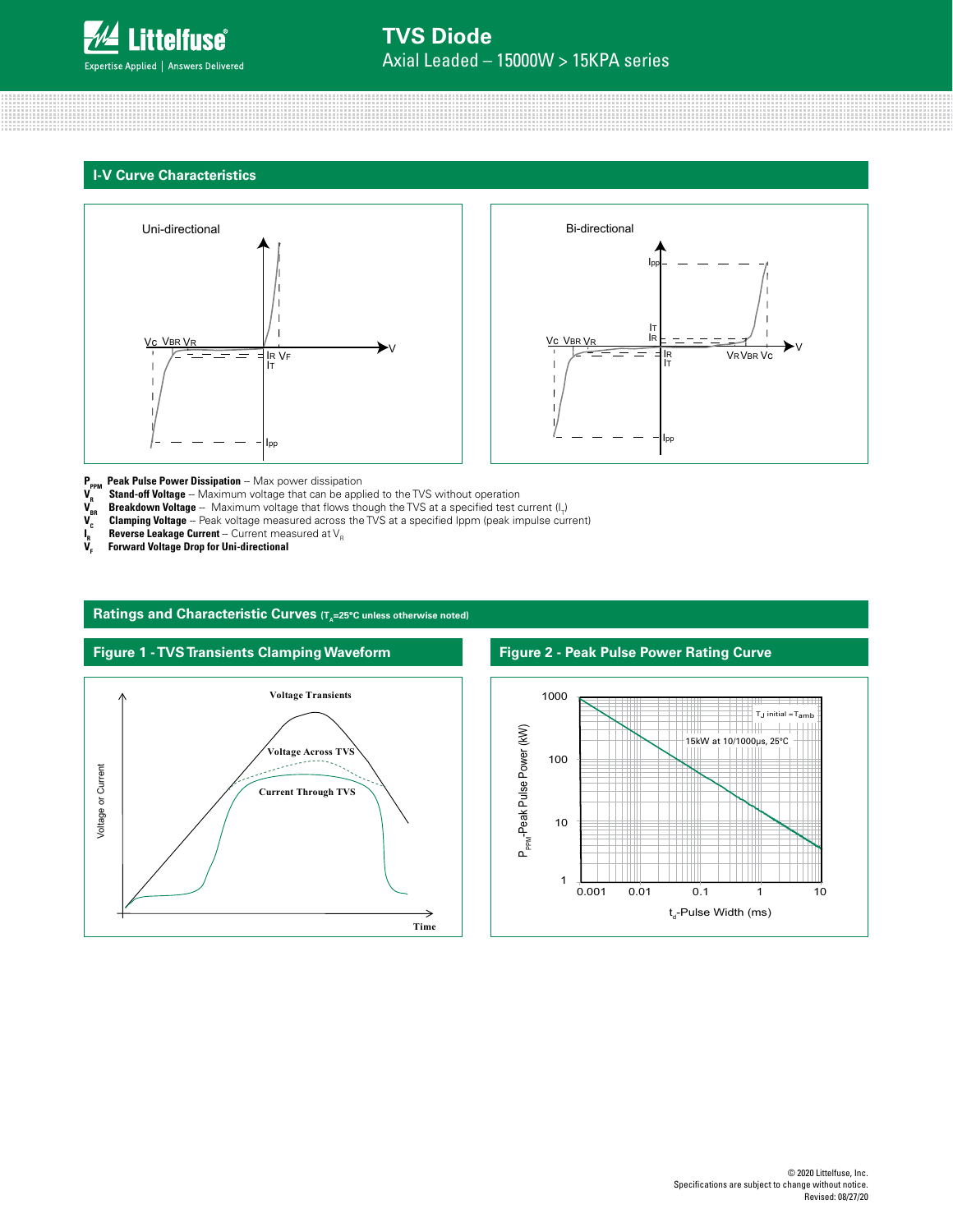

### **I-V Curve Characteristics**





**P<sub>PPM</sub> Peak Pulse Power Dissipation** -- Max power dissipation<br> **V<sub>R</sub>** Stand-off Voltage -- Maximum voltage that can be appl

- 
- **V<sub>R</sub> Stand-off Voltage** -- Maximum voltage that can be applied to the TVS without operation **V<sub>BR</sub>**<br>**V<sub>R</sub> Breakdown Voltage** -- Maximum voltage that flows though the TVS at a specified test c<br>**V<sub>C</sub> Clamping Voltage** - $\bm V_{_{\sf BR}}$  **Breakdown Voltage** -- Maximum voltage that flows though the TVS at a specified test current (I<sub>T</sub>)
- $\bm V_{\rm c}$  **Clamping Voltage** Peak voltage measured across the TVS at a specified Ippm (peak impulse current)
- $\mathbf{I}_{\mathbf{R}}^{\mathbf{R}}$  $_{\textrm{\tiny{R}}}$  **Reverse Leakage Current** -- Current measured at V<sub>R</sub>
- **Forward Voltage Drop for Uni-directional**



### Ratings and Characteristic Curves (T<sub>a</sub>=25°C unless otherwise noted)

### **Figure 2 - Peak Pulse Power Rating Curve**

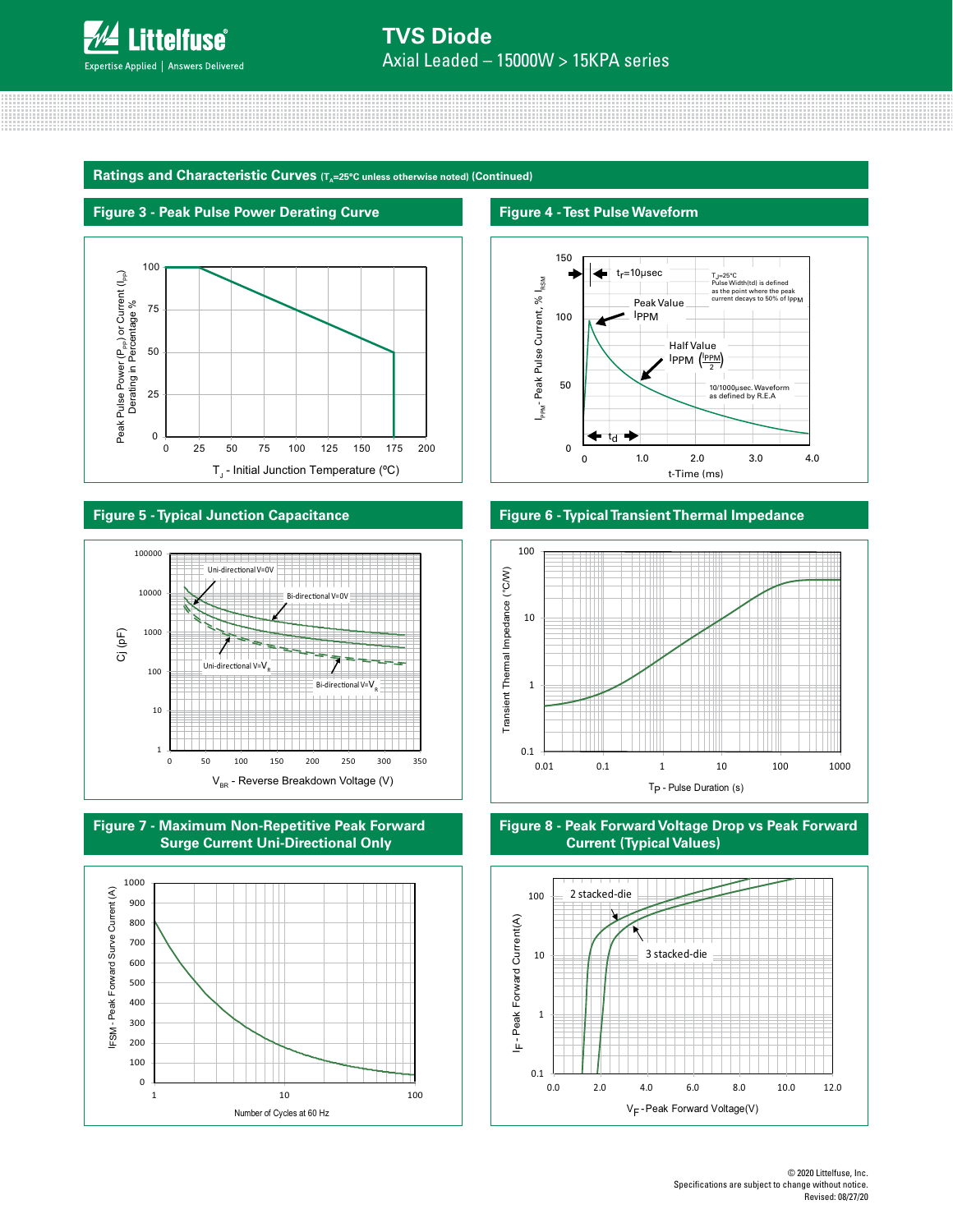

Derating in Percentage

0

25

50

Ratings and Characteristic Curves (T<sub>a</sub>=25°C unless otherwise noted) (Continued)

0 25 50 75 100 125 150 175 200  $T_{\rm J}$  - Initial Junction Temperature (°C)



# **Figure 5 - Typical Junction Capacitance**









### **Figure 6 - Typical Transient Thermal Impedance**



### **Figure 8 - Peak Forward Voltage Drop vs Peak Forward Current (Typical Values)**

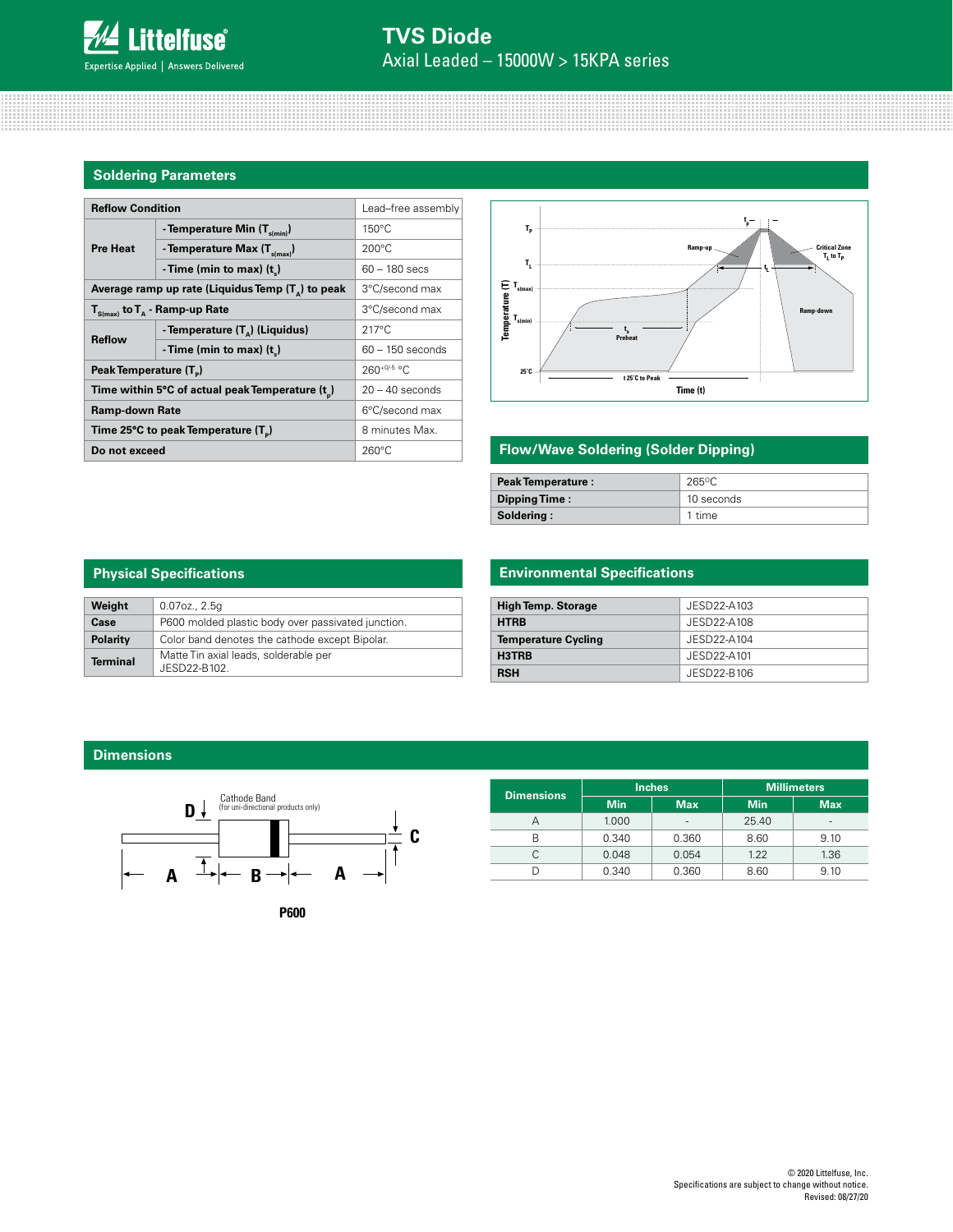### **Soldering Parameters**

| <b>Reflow Condition</b>                                    | Lead-free assembly                             |                    |  |
|------------------------------------------------------------|------------------------------------------------|--------------------|--|
|                                                            | - Temperature Min $(T_{s(min)})$               | $150^{\circ}$ C    |  |
| <b>Pre Heat</b>                                            | - Temperature Max $(T_{\text{simax}})$         | $200^{\circ}$ C    |  |
|                                                            | -Time (min to max) $(t_*)$                     | $60 - 180$ secs    |  |
| Average ramp up rate (Liquidus Temp $(T_{\alpha})$ to peak | 3°C/second max                                 |                    |  |
| $T_{S(max)}$ to $T_{A}$ - Ramp-up Rate                     | 3°C/second max                                 |                    |  |
| <b>Reflow</b>                                              | - Temperature (T <sub>a</sub> ) (Liquidus)     | $217^{\circ}$ C    |  |
|                                                            | - Time (min to max) $(t_$ )                    | $60 - 150$ seconds |  |
| Peak Temperature (T <sub>n</sub> )                         | $260+0/5$ °C                                   |                    |  |
|                                                            | Time within 5°C of actual peak Temperature (t) | $20 - 40$ seconds  |  |
| <b>Ramp-down Rate</b>                                      | 6°C/second max                                 |                    |  |
| Time 25°C to peak Temperature (T <sub>a</sub> )            | 8 minutes Max.                                 |                    |  |
| Do not exceed                                              | $260^{\circ}$ C                                |                    |  |



### **Flow/Wave Soldering (Solder Dipping)**

| <b>Peak Temperature:</b> | $265$ °C   |
|--------------------------|------------|
| Dipping Time:            | 10 seconds |
| Soldering:               | 1 time     |

| <b>Physical Specifications</b> |                                                       |  |  |
|--------------------------------|-------------------------------------------------------|--|--|
| Weight                         | $0.07$ oz., $2.5q$                                    |  |  |
| Case                           | P600 molded plastic body over passivated junction.    |  |  |
| Polarity                       | Color band denotes the cathode except Bipolar.        |  |  |
| <b>Terminal</b>                | Matte Tin axial leads, solderable per<br>JESD22-B102. |  |  |

### **Environmental Specifications**

| <b>High Temp. Storage</b>  | JESD22-A103 |
|----------------------------|-------------|
| <b>HTRB</b>                | JESD22-A108 |
| <b>Temperature Cycling</b> | JESD22-A104 |
| H3TRB                      | JESD22-A101 |
| <b>RSH</b>                 | JESD22-B106 |

### **Dimensions**



| <b>Dimensions</b> |            | <b>Inches</b> | <b>Millimeters</b> |                          |  |
|-------------------|------------|---------------|--------------------|--------------------------|--|
|                   | <b>Min</b> | <b>Max</b>    | <b>Min</b>         | <b>Max</b>               |  |
|                   | 1.000      | -             | 25.40              | $\overline{\phantom{a}}$ |  |
| R                 | 0.340      | 0.360         | 8.60               | 9.10                     |  |
|                   | 0.048      | 0.054         | 1.22               | 1.36                     |  |
|                   | 0.340      | 0.360         | 8.60               | 9.10                     |  |